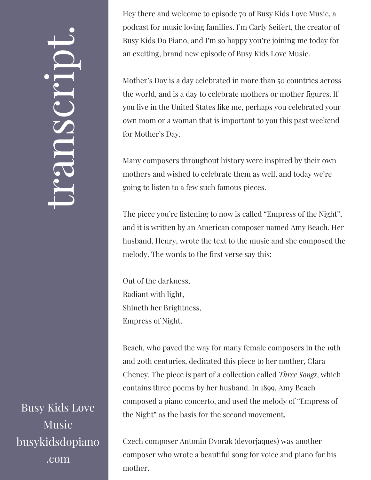## $\leftarrow$ ra<br>S n $\boldsymbol{C}$  $\bigcup$ r $\bullet$   $\overline{\phantom{1}}$  $\boxed{\phantom{1}}$  $\overline{\phantom{a}}$  $\bullet$

Busy Kids Love Music busykidsdopiano .com

Hey there and welcome to episode 70 of Busy Kids Love Music, a podcast for music loving families. I'm Carly Seifert, the creator of Busy Kids Do Piano, and I'm so happy you're joining me today for an exciting, brand new episode of Busy Kids Love Music.

Mother's Day is a day celebrated in more than 50 countries across the world, and is a day to celebrate mothers or mother figures. If you live in the United States like me, perhaps you celebrated your own mom or a woman that is important to you this past weekend for Mother's Day.

Many composers throughout history were inspired by their own mothers and wished to celebrate them as well, and today we're going to listen to a few such famous pieces.

The piece you're listening to now is called "Empress of the Night", and it is written by an American composer named Amy Beach. Her husband, Henry, wrote the text to the music and she composed the melody. The words to the first verse say this:

Out of the darkness, Radiant with light, Shineth her Brightness, Empress of Night.

Beach, who paved the way for many female composers in the 19th and 20th centuries, dedicated this piece to her mother, Clara Cheney. The piece is part of a collection called *Three Songs*, which contains three poems by her husband. In 1899, Amy Beach composed a piano concerto, and used the melody of "Empress of the Night" as the basis for the second movement.

Czech composer Antonin Dvorak (devorjaques) was another composer who wrote a beautiful song for voice and piano for his mother.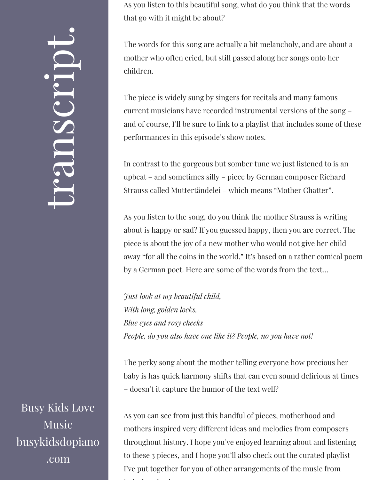$\leftarrow$ ra<br>S n $\boldsymbol{C}$  $\bigcup$ r $\bullet$   $\overline{\phantom{1}}$  $\boxed{\phantom{1}}$  $\overline{\phantom{a}}$  $\bullet$ 

Busy Kids Love Music busykidsdopiano .com

As you listen to this beautiful song, what do you think that the words that go with it might be about?

The words for this song are actually a bit melancholy, and are about a mother who often cried, but still passed along her songs onto her children.

The piece is widely sung by singers for recitals and many famous current musicians have recorded instrumental versions of the song – and of course, I'll be sure to link to a playlist that includes some of these performances in this episode's show notes.

In contrast to the gorgeous but somber tune we just listened to is an upbeat – and sometimes silly – piece by German composer Richard Strauss called Muttertändelei – which means "Mother Chatter".

As you listen to the song, do you think the mother Strauss is writing about is happy or sad? If you guessed happy, then you are correct. The piece is about the joy of a new mother who would not give her child away "for all the coins in the world." It's based on a rather comical poem by a German poet. Here are some of the words from the text…

*Just look at my beautiful child, With long, golden locks, Blue eyes and rosy cheeks People, do you also have one like it? People, no you have not!*

The perky song about the mother telling everyone how precious her baby is has quick harmony shifts that can even sound delirious at times – doesn't it capture the humor of the text well?

As you can see from just this handful of pieces, motherhood and mothers inspired very different ideas and melodies from composers throughout history. I hope you've enjoyed learning about and listening to these 3 pieces, and I hope you'll also check out the curated playlist I've put together for you of other arrangements of the music from . 1 . . . 1